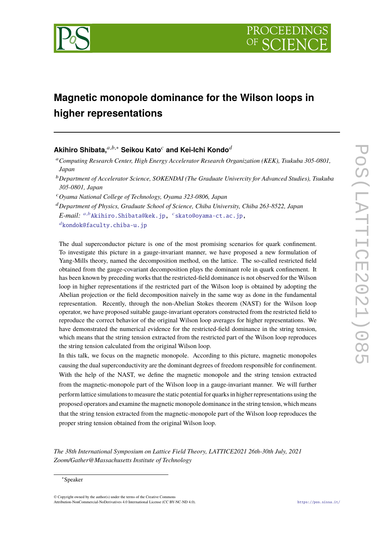

# **Magnetic monopole dominance for the Wilson loops in higher representations**

# **Akihiro Shibata,**  $a,b,*$  Seikou Kato<sup>*c*</sup> and Kei-Ichi Kondo<sup>d</sup>

- <sup>*b*</sup> Department of Accelerator Science, SOKENDAI (The Graduate Univercity for Advanced Studies), Tsukuba *305-0801, Japan*
- <sup>𝑐</sup>*Oyama National College of Technology, Oyama 323-0806, Japan*

<sup>𝑑</sup>*Department of Physics, Graduate School of Science, Chiba University, Chiba 263-8522, Japan*  $E\text{-}mail: \text{ }^{a,b}\text{Akihiro.Shibata@kek.jp, } \text{ }^{c}\text{skato@oyama-ct.ac.jp, }$  $E\text{-}mail: \text{ }^{a,b}\text{Akihiro.Shibata@kek.jp, } \text{ }^{c}\text{skato@oyama-ct.ac.jp, }$  $E\text{-}mail: \text{ }^{a,b}\text{Akihiro.Shibata@kek.jp, } \text{ }^{c}\text{skato@oyama-ct.ac.jp, }$  $E\text{-}mail: \text{ }^{a,b}\text{Akihiro.Shibata@kek.jp, } \text{ }^{c}\text{skato@oyama-ct.ac.jp, }$  $E\text{-}mail: \text{ }^{a,b}\text{Akihiro.Shibata@kek.jp, } \text{ }^{c}\text{skato@oyama-ct.ac.jp, }$  $d$ [kondok@faculty.chiba-u.jp](mailto:$^{d}$kondok@faculty.chiba-u.jp)

The dual superconductor picture is one of the most promising scenarios for quark confinement. To investigate this picture in a gauge-invariant manner, we have proposed a new formulation of Yang-Mills theory, named the decomposition method, on the lattice. The so-called restricted field obtained from the gauge-covariant decomposition plays the dominant role in quark confinement. It has been known by preceding works that the restricted-field dominance is not observed for the Wilson loop in higher representations if the restricted part of the Wilson loop is obtained by adopting the Abelian projection or the field decomposition naively in the same way as done in the fundamental representation. Recently, through the non-Abelian Stokes theorem (NAST) for the Wilson loop operator, we have proposed suitable gauge-invariant operators constructed from the restricted field to reproduce the correct behavior of the original Wilson loop averages for higher representations. We have demonstrated the numerical evidence for the restricted-field dominance in the string tension, which means that the string tension extracted from the restricted part of the Wilson loop reproduces the string tension calculated from the original Wilson loop.

In this talk, we focus on the magnetic monopole. According to this picture, magnetic monopoles causing the dual superconductivity are the dominant degrees of freedom responsible for confinement. With the help of the NAST, we define the magnetic monopole and the string tension extracted from the magnetic-monopole part of the Wilson loop in a gauge-invariant manner. We will further perform lattice simulations to measure the static potential for quarks in higher representations using the proposed operators and examine the magnetic monopole dominance in the string tension, which means that the string tension extracted from the magnetic-monopole part of the Wilson loop reproduces the proper string tension obtained from the original Wilson loop.

*The 38th International Symposium on Lattice Field Theory, LATTICE2021 26th-30th July, 2021 Zoom/Gather@Massachusetts Institute of Technology*

© Copyright owned by the author(s) under the terms of the Creative Commons Attribution-NonCommercial-NoDerivatives 4.0 International License (CC BY-NC-ND 4.0). <https://pos.sissa.it/>

<sup>𝑎</sup>*Computing Research Center, High Energy Accelerator Research Organization (KEK), Tsukuba 305-0801, Japan*

<sup>∗</sup>Speaker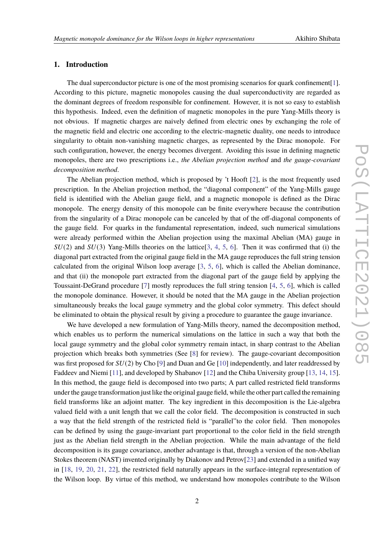# **1. Introduction**

The dual superconductor picture is one of the most promising scenarios for quark confinement [\[1\]](#page-7-0). According to this picture, magnetic monopoles causing the dual superconductivity are regarded as the dominant degrees of freedom responsible for confinement. However, it is not so easy to establish this hypothesis. Indeed, even the definition of magnetic monopoles in the pure Yang-Mills theory is not obvious. If magnetic charges are naively defined from electric ones by exchanging the role of the magnetic field and electric one according to the electric-magnetic duality, one needs to introduce singularity to obtain non-vanishing magnetic charges, as represented by the Dirac monopole. For such configuration, however, the energy becomes divergent. Avoiding this issue in defining magnetic monopoles, there are two prescriptions i.e., *the Abelian projection method* and *the gauge-covariant decomposition method*.

The Abelian projection method, which is proposed by 't Hooft [\[2\]](#page-7-1), is the most frequently used prescription. In the Abelian projection method, the "diagonal component" of the Yang-Mills gauge field is identified with the Abelian gauge field, and a magnetic monopole is defined as the Dirac monopole. The energy density of this monopole can be finite everywhere because the contribution from the singularity of a Dirac monopole can be canceled by that of the off-diagonal components of the gauge field. For quarks in the fundamental representation, indeed, such numerical simulations were already performed within the Abelian projection using the maximal Abelian (MA) gauge in  $SU(2)$  and  $SU(3)$  Yang-Mills theories on the lattice[\[3,](#page-7-2) [4,](#page-7-3) [5,](#page-7-4) [6\]](#page-7-5). Then it was confirmed that (i) the diagonal part extracted from the original gauge field in the MA gauge reproduces the full string tension calculated from the original Wilson loop average [\[3,](#page-7-2) [5,](#page-7-4) [6\]](#page-7-5), which is called the Abelian dominance, and that (ii) the monopole part extracted from the diagonal part of the gauge field by applying the Toussaint-DeGrand procedure [\[7\]](#page-7-6) mostly reproduces the full string tension [\[4,](#page-7-3) [5,](#page-7-4) [6\]](#page-7-5), which is called the monopole dominance. However, it should be noted that the MA gauge in the Abelian projection simultaneously breaks the local gauge symmetry and the global color symmetry. This defect should be eliminated to obtain the physical result by giving a procedure to guarantee the gauge invariance.

We have developed a new formulation of Yang-Mills theory, named the decomposition method, which enables us to perform the numerical simulations on the lattice in such a way that both the local gauge symmetry and the global color symmetry remain intact, in sharp contrast to the Abelian projection which breaks both symmetries (See [\[8\]](#page-7-7) for review). The gauge-covariant decomposition was first proposed for  $SU(2)$  by Cho [\[9\]](#page-7-8) and Duan and Ge [\[10\]](#page-7-9) independently, and later readdressed by Faddeev and Niemi [\[11\]](#page-7-10), and developed by Shabanov [\[12\]](#page-7-11) and the Chiba University group [\[13,](#page-7-12) [14,](#page-8-0) [15\]](#page-8-1). In this method, the gauge field is decomposed into two parts; A part called restricted field transforms under the gauge transformation just like the original gauge field, while the other part called the remaining field transforms like an adjoint matter. The key ingredient in this decomposition is the Lie-algebra valued field with a unit length that we call the color field. The decomposition is constructed in such a way that the field strength of the restricted field is "parallel"to the color field. Then monopoles can be defined by using the gauge-invariant part proportional to the color field in the field strength just as the Abelian field strength in the Abelian projection. While the main advantage of the field decomposition is its gauge covariance, another advantage is that, through a version of the non-Abelian Stokes theorem (NAST) invented originally by Diakonov and Petrov[\[23\]](#page-8-2) and extended in a unified way in [\[18,](#page-8-3) [19,](#page-8-4) [20,](#page-8-5) [21,](#page-8-6) [22\]](#page-8-7), the restricted field naturally appears in the surface-integral representation of the Wilson loop. By virtue of this method, we understand how monopoles contribute to the Wilson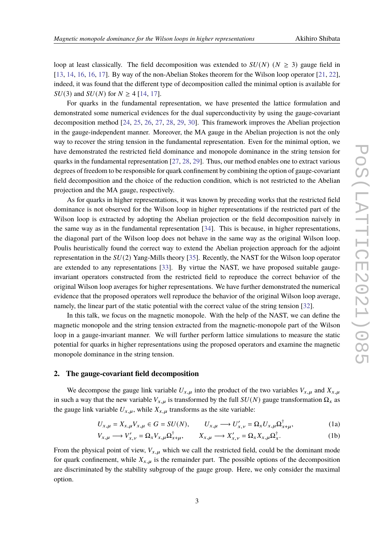loop at least classically. The field decomposition was extended to  $SU(N)$  ( $N \geq 3$ ) gauge field in [\[13,](#page-7-12) [14,](#page-8-0) [16,](#page-8-8) [16,](#page-8-8) [17\]](#page-8-9). By way of the non-Abelian Stokes theorem for the Wilson loop operator [\[21,](#page-8-6) [22\]](#page-8-7), indeed, it was found that the different type of decomposition called the minimal option is available for  $SU(3)$  and  $SU(N)$  for  $N \geq 4$  [\[14,](#page-8-0) [17\]](#page-8-9).

For quarks in the fundamental representation, we have presented the lattice formulation and demonstrated some numerical evidences for the dual superconductivity by using the gauge-covariant decomposition method [\[24,](#page-8-10) [25,](#page-8-11) [26,](#page-8-12) [27,](#page-8-13) [28,](#page-8-14) [29,](#page-8-15) [30\]](#page-8-16). This framework improves the Abelian projection in the gauge-independent manner. Moreover, the MA gauge in the Abelian projection is not the only way to recover the string tension in the fundamental representation. Even for the minimal option, we have demonstrated the restricted field dominance and monopole dominance in the string tension for quarks in the fundamental representation [\[27,](#page-8-13) [28,](#page-8-14) [29\]](#page-8-15). Thus, our method enables one to extract various degrees of freedom to be responsible for quark confinement by combining the option of gauge-covariant field decomposition and the choice of the reduction condition, which is not restricted to the Abelian projection and the MA gauge, respectively.

As for quarks in higher representations, it was known by preceding works that the restricted field dominance is not observed for the Wilson loop in higher representations if the restricted part of the Wilson loop is extracted by adopting the Abelian projection or the field decomposition naively in the same way as in the fundamental representation [\[34\]](#page-8-17). This is because, in higher representations, the diagonal part of the Wilson loop does not behave in the same way as the original Wilson loop. Poulis heuristically found the correct way to extend the Abelian projection approach for the adjoint representation in the  $SU(2)$  Yang-Mills theory [\[35\]](#page-8-18). Recently, the NAST for the Wilson loop operator are extended to any representations [\[33\]](#page-8-19). By virtue the NAST, we have proposed suitable gaugeinvariant operators constructed from the restricted field to reproduce the correct behavior of the original Wilson loop averages for higher representations. We have further demonstrated the numerical evidence that the proposed operators well reproduce the behavior of the original Wilson loop average, namely, the linear part of the static potential with the correct value of the string tension [\[32\]](#page-8-20).

In this talk, we focus on the magnetic monopole. With the help of the NAST, we can define the magnetic monopole and the string tension extracted from the magnetic-monopole part of the Wilson loop in a gauge-invariant manner. We will further perform lattice simulations to measure the static potential for quarks in higher representations using the proposed operators and examine the magnetic monopole dominance in the string tension.

## **2. The gauge-covariant field decomposition**

We decompose the gauge link variable  $U_{x,\mu}$  into the product of the two variables  $V_{x,\mu}$  and  $X_{x,\mu}$ in such a way that the new variable  $V_{x,\mu}$  is transformed by the full  $SU(N)$  gauge transformation  $\Omega_x$  as the gauge link variable  $U_{x,\mu}$ , while  $X_{x,\mu}$  transforms as the site variable:

$$
U_{x,\mu} = X_{x,\mu} V_{x,\mu} \in G = SU(N), \qquad U_{x,\mu} \longrightarrow U'_{x,\nu} = \Omega_x U_{x,\mu} \Omega_{x+\mu}^{\dagger}, \tag{1a}
$$

$$
V_{x,\mu} \longrightarrow V'_{x,\nu} = \Omega_x V_{x,\mu} \Omega_{x+\mu}^{\dagger}, \qquad X_{x,\mu} \longrightarrow X'_{x,\nu} = \Omega_x X_{x,\mu} \Omega_x^{\dagger}.
$$
 (1b)

From the physical point of view,  $V_{x,u}$  which we call the restricted field, could be the dominant mode for quark confinement, while  $X_{x,\mu}$  is the remainder part. The possible options of the decomposition are discriminated by the stability subgroup of the gauge group. Here, we only consider the maximal option.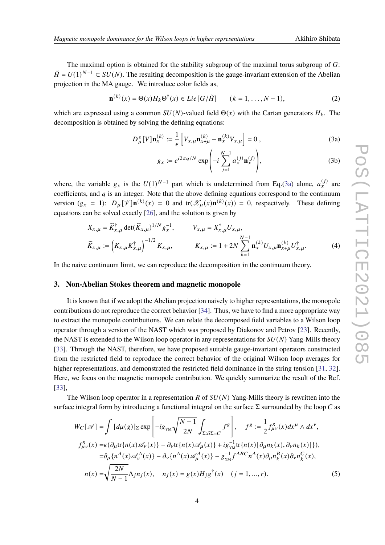The maximal option is obtained for the stability subgroup of the maximal torus subgroup of  $G$ :  $\tilde{H} = U(1)^{N-1} \subset SU(N)$ . The resulting decomposition is the gauge-invariant extension of the Abelian projection in the MA gauge. We introduce color fields as,

$$
\mathbf{n}^{(k)}(x) = \Theta(x)H_k\Theta^{\dagger}(x) \in Lie\big[G/\tilde{H}\big] \qquad (k = 1, \dots, N-1),\tag{2}
$$

which are expressed using a common  $SU(N)$ -valued field  $\Theta(x)$  with the Cartan generators  $H_k$ . The decomposition is obtained by solving the defining equations:

$$
D_{\mu}^{\epsilon}[V]\mathbf{n}_x^{(k)} := \frac{1}{\epsilon} \left[ V_{x,\mu} \mathbf{n}_{x+\mu}^{(k)} - \mathbf{n}_x^{(k)} V_{x,\mu} \right] = 0 ,
$$
 (3a)

<span id="page-3-1"></span><span id="page-3-0"></span>
$$
g_x := e^{i2\pi q/N} \exp\left(-i\sum_{j=1}^{N-1} a_x^{(j)} \mathbf{n}_x^{(j)}\right),\tag{3b}
$$

where, the variable  $g_x$  is the  $U(1)^{N-1}$  part which is undetermined from Eq.[\(3a\)](#page-3-0) alone,  $a_x^{(j)}$  are coefficients, and  $q$  is an integer. Note that the above defining equations correspond to the continuum version  $(g_x = 1)$ :  $D_{\mu} [\mathcal{V}] \mathbf{n}^{(k)}(x) = 0$  and  $\text{tr}(\mathcal{X}_{\mu}(x) \mathbf{n}^{(k)}(x)) = 0$ , respectively. These defining equations can be solved exactly [\[26\]](#page-8-12), and the solution is given by

$$
X_{x,\mu} = \widehat{K}_{x,\mu}^{\dagger} \det(\widehat{K}_{x,\mu})^{1/N} g_{x}^{-1}, \qquad V_{x,\mu} = X_{x,\mu}^{\dagger} U_{x,\mu},
$$
  

$$
\widehat{K}_{x,\mu} := \left(K_{x,\mu} K_{x,\mu}^{\dagger}\right)^{-1/2} K_{x,\mu}, \qquad K_{x,\mu} := 1 + 2N \sum_{k=1}^{N-1} \mathbf{n}_{x}^{(k)} U_{x,\mu} \mathbf{n}_{x+\mu}^{(k)} U_{x,\mu}^{\dagger}.
$$
 (4)

In the naive continuum limit, we can reproduce the decomposition in the continuum theory.

#### **3. Non-Abelian Stokes theorem and magnetic monopole**

It is known that if we adopt the Abelian projection naively to higher representations, the monopole contributions do not reproduce the correct behavior [\[34\]](#page-8-17). Thus, we have to find a more appropriate way to extract the monopole contributions. We can relate the decomposed field variables to a Wilson loop operator through a version of the NAST which was proposed by Diakonov and Petrov [\[23\]](#page-8-2). Recently, the NAST is extended to the Wilson loop operator in any representations for  $SU(N)$  Yang-Mills theory [\[33\]](#page-8-19). Through the NAST, therefore, we have proposed suitable gauge-invariant operators constructed from the restricted field to reproduce the correct behavior of the original Wilson loop averages for higher representations, and demonstrated the restricted field dominance in the string tension [\[31,](#page-8-21) [32\]](#page-8-20). Here, we focus on the magnetic monopole contribution. We quickly summarize the result of the Ref. [\[33\]](#page-8-19),

The Wilson loop operator in a representation R of  $SU(N)$  Yang-Mills theory is rewritten into the surface integral form by introducing a functional integral on the surface  $\Sigma$  surrounded by the loop C as

$$
W_C[\mathscr{A}] = \int [d\mu(g)]_{\Sigma} \exp\left[-ig_{\scriptscriptstyle YM}\sqrt{\frac{N-1}{2N}}\int_{\Sigma:\partial\Sigma=C}f^g\right], \quad f^g := \frac{1}{2}f_{\mu\nu}^g(x)dx^{\mu} \wedge dx^{\nu},
$$
  
\n
$$
f_{\mu\nu}^g(x) = \kappa(\partial_{\mu}\text{tr}\{n(x)\mathscr{A}_{\nu}(x)\} - \partial_{\nu}\text{tr}\{n(x)\mathscr{A}_{\mu}(x)\} + ig_{\scriptscriptstyle TM}^{-1}\text{tr}\{n(x)[\partial_{\mu}n_k(x), \partial_{\nu}n_k(x)]\}),
$$
  
\n
$$
= \partial_{\mu}\{n^A(x)\mathscr{A}_{\nu}^A(x)\} - \partial_{\nu}\{n^A(x)\mathscr{A}_{\mu}^A(x)\} - g_{\scriptscriptstyle TM}^{-1}f^{ABC}n^A(x)\partial_{\mu}n_k^B(x)\partial_{\nu}n_k^C(x),
$$
  
\n
$$
n(x) = \sqrt{\frac{2N}{N-1}}\Lambda_j n_j(x), \quad n_j(x) = g(x)H_j g^{\dagger}(x) \quad (j = 1, ..., r).
$$
 (5)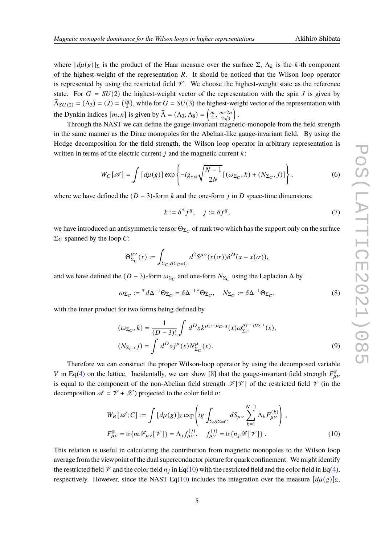where  $[d\mu(g)]_{\Sigma}$  is the product of the Haar measure over the surface  $\Sigma$ ,  $\Lambda_k$  is the k-th component of the highest-weight of the representation  $R$ . It should be noticed that the Wilson loop operator is represented by using the restricted field  $\mathcal V$ . We choose the highest-weight state as the reference state. For  $G = SU(2)$  the highest-weight vector of the representation with the spin J is given by  $\vec{\Lambda}_{SU(2)} = (\Lambda_3) = (J) = (\frac{m}{2})$  $\frac{m}{2}$ ), while for  $G = SU(3)$  the highest-weight vector of the representation with the Dynkin indices  $[m, n]$  is given by  $\vec{\Lambda} = (\Lambda_3, \Lambda_8) = \left(\frac{m}{2}\right)$  $\frac{m}{2}, \frac{m+2n}{2\sqrt{3}}$  $\frac{n+2i}{2\sqrt{3}}$ .

Through the NAST we can define the gauge-invariant magnetic-monopole from the field strength in the same manner as the Dirac monopoles for the Abelian-like gauge-invariant field. By using the Hodge decomposition for the field strength, the Wilson loop operator in arbitrary representation is written in terms of the electric current  $j$  and the magnetic current  $k$ :

<span id="page-4-1"></span>
$$
W_C[\mathscr{A}] = \int \left[ d\mu(g) \right] \exp \left\{ -ig_{\text{YM}} \sqrt{\frac{N-1}{2N}} \left[ (\omega_{\Sigma_C}, k) + (N_{\Sigma_C}, j) \right] \right\},\tag{6}
$$

where we have defined the  $(D-3)$ -form k and the one-form i in D space-time dimensions:

$$
k := \delta^* f^g, \quad j := \delta f^g,\tag{7}
$$

we have introduced an antisymmetric tensor  $\Theta_{\Sigma_C}$  of rank two which has the support only on the surface  $\Sigma_C$  spanned by the loop C:

$$
\Theta_{\Sigma_C}^{\mu\nu}(x) := \int_{\Sigma_C : \partial \Sigma_C = C} d^2 S^{\mu\nu}(x(\sigma)) \delta^D(x - x(\sigma)),
$$

and we have defined the  $(D-3)$ -form  $\omega_{\Sigma_C}$  and one-form  $N_{\Sigma_C}$  using the Laplacian  $\Delta$  by

$$
\omega_{\Sigma_C} := {}^*d\Delta^{-1}\Theta_{\Sigma_C} = \delta\Delta^{-1*}\Theta_{\Sigma_C}, \quad N_{\Sigma_C} := \delta\Delta^{-1}\Theta_{\Sigma_C},
$$
\n(8)

with the inner product for two forms being defined by

$$
(\omega_{\Sigma_C}, k) = \frac{1}{(D-3)!} \int d^D x k^{\mu_1 \cdots \mu_{D-3}}(x) \omega_{\Sigma_C}^{\mu_1 \cdots \mu_{D-3}}(x),
$$
  

$$
(N_{\Sigma_C}, j) = \int d^D x j^{\mu}(x) N_{\Sigma_C}^{\mu}(x).
$$
 (9)

Therefore we can construct the proper Wilson-loop operator by using the decomposed variable V in Eq[\(4\)](#page-3-1) on the lattice. Incidentally, we can show [\[8\]](#page-7-7) that the gauge-invariant field strength  $F_{\mu\nu}^g$ is equal to the component of the non-Abelian field strength  $\mathcal{F}[\mathcal{V}]$  of the restricted field  $\mathcal V$  (in the decomposition  $\mathscr{A} = \mathscr{V} + \mathscr{X}$ ) projected to the color field *n*:

<span id="page-4-0"></span>
$$
W_R[\mathscr{A}; C] := \int [d\mu(g)]_{\Sigma} \exp \left( ig \int_{\Sigma : \partial \Sigma = C} dS_{\mu\nu} \sum_{k=1}^{N-1} \Lambda_k F_{\mu\nu}^{(k)} \right),
$$
  

$$
F_{\mu\nu}^g = \text{tr}\{ m\mathscr{F}_{\mu\nu}[\mathscr{V}]\} = \Lambda_j f_{\mu\nu}^{(j)}, \quad f_{\mu\nu}^{(j)} = \text{tr}\{ n_j \mathscr{F}[\mathscr{V}]\}.
$$
 (10)

This relation is useful in calculating the contribution from magnetic monopoles to the Wilson loop average from the viewpoint of the dual superconductor picture for quark confinement. We might identify the restricted field  $\mathcal V$  and the color field  $n_j$  in Eq[\(10\)](#page-4-0) with the restricted field and the color field in Eq[\(4\)](#page-3-1), respectively. However, since the NAST Eq[\(10\)](#page-4-0) includes the integration over the measure  $[d\mu(g)]_{\Sigma}$ ,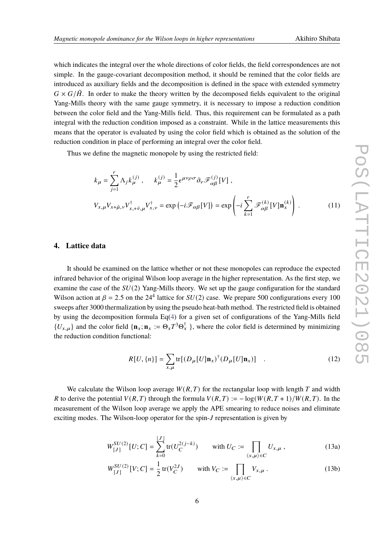which indicates the integral over the whole directions of color fields, the field correspondences are not simple. In the gauge-covariant decomposition method, it should be remined that the color fields are introduced as auxiliary fields and the decomposition is defined in the space with extended symmetry  $G \times G/\tilde{H}$ . In order to make the theory written by the decomposed fields equivalent to the original Yang-Mills theory with the same gauge symmetry, it is necessary to impose a reduction condition between the color field and the Yang-Mills field. Thus, this requirement can be formulated as a path integral with the reduction condition imposed as a constraint. While in the lattice measurements this means that the operator is evaluated by using the color field which is obtained as the solution of the reduction condition in place of performing an integral over the color field.

Thus we define the magnetic monopole by using the restricted field:

$$
k_{\mu} = \sum_{j=1}^{r} \Lambda_{j} k_{\mu}^{(j)}, \qquad k_{\mu}^{(j)} = \frac{1}{2} \epsilon^{\mu \nu \rho \sigma} \partial_{\nu} \mathcal{F}_{\alpha \beta}^{(j)}[V],
$$
  

$$
V_{x,\mu} V_{x+\hat{\mu},\nu} V_{x,+\hat{\nu},\mu}^{\dagger} V_{x,\nu}^{\dagger} = \exp(-i \mathcal{F}_{\alpha \beta}[V]) = \exp\left(-i \sum_{k=1}^{r} \mathcal{F}_{\alpha \beta}^{(k)}[V] \mathbf{n}_{x}^{(k)}\right).
$$
 (11)

# **4. Lattice data**

It should be examined on the lattice whether or not these monopoles can reproduce the expected infrared behavior of the original Wilson loop average in the higher representation. As the first step, we examine the case of the  $SU(2)$  Yang-Mills theory. We set up the gauge configuration for the standard Wilson action at  $\beta = 2.5$  on the 24<sup>4</sup> lattice for  $SU(2)$  case. We prepare 500 configurations every 100 sweeps after 3000 thermalization by using the pseudo heat-bath method. The restricted field is obtained by using the decomposition formula Eq[\(4\)](#page-3-1) for a given set of configurations of the Yang-Mills field  ${U_{x,\mu}}$  and the color field  ${\bf \{ n}}_x: = \Theta_x T^3 \Theta_x^{\dagger}$ , where the color field is determined by minimizing the reduction condition functional:

<span id="page-5-0"></span>
$$
R[U, \{n\}] = \sum_{x, \mu} \text{tr}[(D_{\mu}[U]\mathbf{n}_x)^{\dagger}(D_{\mu}[U]\mathbf{n}_x)] \quad . \tag{12}
$$

We calculate the Wilson loop average  $W(R, T)$  for the rectangular loop with length T and width R to derive the potential  $V(R, T)$  through the formula  $V(R, T) := -\log(W(R, T + 1)/W(R, T)$ . In the measurement of the Wilson loop average we apply the APE smearing to reduce noises and eliminate exciting modes. The Wilson-loop operator for the spin-J representation is given by

$$
W_{[J]}^{SU(2)}[U;C] = \sum_{k=0}^{\lfloor J \rfloor} \text{tr}(U_C^{2(j-k)}) \qquad \text{with } U_C := \prod_{\langle x,\mu \rangle \in C} U_{x,\mu} , \qquad (13a)
$$

<span id="page-5-1"></span>
$$
W_{[J]}^{SU(2)}[V;C] = \frac{1}{2} \operatorname{tr}(V_C^{2J}) \qquad \text{with } V_C := \prod_{\langle x,\mu \rangle \in C} V_{x,\mu} \,. \tag{13b}
$$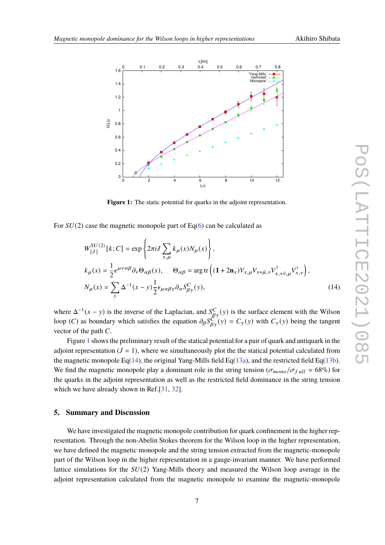

<span id="page-6-1"></span><span id="page-6-0"></span>**Figure 1:** The static potential for quarks in the adjoint representation.

For  $SU(2)$  case the magnetic monopole part of Eq[\(6\)](#page-4-1) can be calculated as

$$
W_{[J]}^{SU(2)}[k;C] = \exp\left\{2\pi i J \sum_{x,\mu} k_{\mu}(x) N_{\mu}(x)\right\},\
$$
  
\n
$$
k_{\mu}(x) = \frac{1}{2} \epsilon^{\mu\nu\alpha\beta} \partial_{\nu} \Theta_{\alpha\beta}(x), \qquad \Theta_{\alpha\beta} = \arg \text{tr}\left((1+2\mathbf{n}_{x}) V_{x,\mu} V_{x+\hat{\mu},\nu} V_{x+\hat{\nu},\mu}^{\dagger} V_{x,\nu}^{\dagger}\right),\
$$
  
\n
$$
N_{\mu}(x) = \sum_{\nu} \Delta^{-1}(x-y) \frac{1}{2} \epsilon_{\mu\alpha\beta\gamma} \partial_{\alpha} S_{\beta\gamma}^{C}(y),
$$
\n(14)

where  $\Delta^{-1}(x - y)$  is the inverse of the Laplacian, and  $S_{\beta\gamma}^{C}(y)$  is the surface element with the Wilson loop (*C*) as boundary which satisfies the equation  $\partial_{\beta} S_{\beta\gamma}^{C'}(y) = C_{\gamma}(y)$  with  $C_{\gamma}(y)$  being the tangent vector of the path  $C$ .

Figure [1](#page-6-0) shows the preliminary result of the statical potential for a pair of quark and antiquark in the adjoint representation  $(J = 1)$ , where we simultaneously plot the the statical potential calculated from the magnetic monopole Eq[\(14\)](#page-6-1), the original Yang-Mills field Eq[\(13a\)](#page-5-0), and the restricted field Eq[\(13b\)](#page-5-1). We find the magnetic monopole play a dominant role in the string tension ( $\sigma_{mono}/\sigma_{full} \approx 68\%$ ) for the quarks in the adjoint representation as well as the restricted field dominance in the string tension which we have already shown in Ref.[\[31,](#page-8-21) [32\]](#page-8-20).

#### **5. Summary and Discussion**

We have investigated the magnetic monopole contribution for quark confinement in the higher representation. Through the non-Abelin Stokes theorem for the Wilson loop in the higher representation, we have defined the magnetic monopole and the string tension extracted from the magnetic-monopole part of the Wilson loop in the higher representation in a gauge-invariant manner. We have performed lattice simulations for the  $SU(2)$  Yang-Mills theory and measured the Wilson loop average in the adjoint representation calculated from the magnetic monopole to examine the magnetic-monopole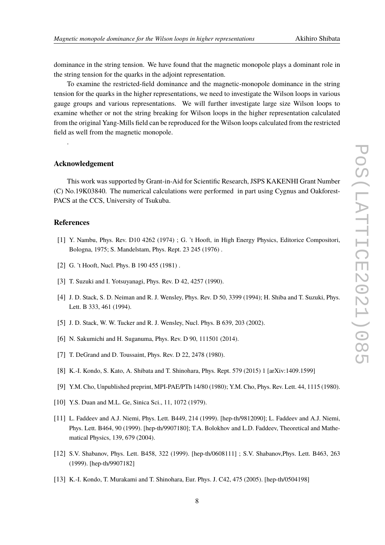dominance in the string tension. We have found that the magnetic monopole plays a dominant role in the string tension for the quarks in the adjoint representation.

To examine the restricted-field dominance and the magnetic-monopole dominance in the string tension for the quarks in the higher representations, we need to investigate the Wilson loops in various gauge groups and various representations. We will further investigate large size Wilson loops to examine whether or not the string breaking for Wilson loops in the higher representation calculated from the original Yang-Mills field can be reproduced for the Wilson loops calculated from the restricted field as well from the magnetic monopole.

## **Acknowledgement**

This work was supported by Grant-in-Aid for Scientific Research, JSPS KAKENHI Grant Number (C) No.19K03840. The numerical calculations were performed in part using Cygnus and Oakforest-PACS at the CCS, University of Tsukuba.

## **References**

.

- <span id="page-7-0"></span>[1] Y. Nambu, Phys. Rev. D10 4262 (1974) ; G. 't Hooft, in High Energy Physics, Editorice Compositori, Bologna, 1975; S. Mandelstam, Phys. Rept. 23 245 (1976) .
- <span id="page-7-1"></span>[2] G. 't Hooft, Nucl. Phys. B 190 455 (1981).
- <span id="page-7-2"></span>[3] T. Suzuki and I. Yotsuvanagi, Phys. Rev. D 42, 4257 (1990).
- <span id="page-7-3"></span>[4] J. D. Stack, S. D. Neiman and R. J. Wensley, Phys. Rev. D 50, 3399 (1994); H. Shiba and T. Suzuki, Phys. Lett. B 333, 461 (1994).
- <span id="page-7-4"></span>[5] J. D. Stack, W. W. Tucker and R. J. Wensley, Nucl. Phys. B 639, 203 (2002).
- <span id="page-7-5"></span>[6] N. Sakumichi and H. Suganuma, Phys. Rev. D 90, 111501 (2014).
- <span id="page-7-6"></span>[7] T. DeGrand and D. Toussaint, Phys. Rev. D 22, 2478 (1980).
- <span id="page-7-7"></span>[8] K.-I. Kondo, S. Kato, A. Shibata and T. Shinohara, Phys. Rept. 579 (2015) 1 [arXiv:1409.1599]
- <span id="page-7-8"></span>[9] Y.M. Cho, Unpublished preprint, MPI-PAE/PTh 14/80 (1980); Y.M. Cho, Phys. Rev. Lett. 44, 1115 (1980).
- <span id="page-7-9"></span>[10] Y.S. Duan and M.L. Ge, Sinica Sci., 11, 1072 (1979).
- <span id="page-7-10"></span>[11] L. Faddeev and A.J. Niemi, Phys. Lett. B449, 214 (1999). [hep-th/9812090]; L. Faddeev and A.J. Niemi, Phys. Lett. B464, 90 (1999). [hep-th/9907180]; T.A. Bolokhov and L.D. Faddeev, Theoretical and Mathematical Physics, 139, 679 (2004).
- <span id="page-7-11"></span>[12] S.V. Shabanov, Phys. Lett. B458, 322 (1999). [hep-th/0608111] ; S.V. Shabanov,Phys. Lett. B463, 263 (1999). [hep-th/9907182]
- <span id="page-7-12"></span>[13] K.-I. Kondo, T. Murakami and T. Shinohara, Eur. Phys. J. C42, 475 (2005). [hep-th/0504198]